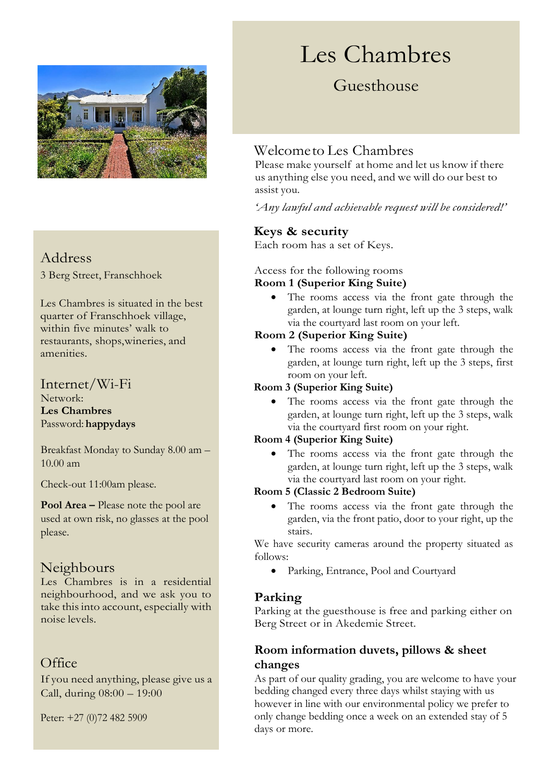

# Address

3 Berg Street, Franschhoek

Les Chambres is situated in the best quarter of Franschhoek village, within five minutes' walk to restaurants, shops,wineries, and amenities.

### Internet/Wi-Fi

Network: **Les Chambres** Password: **happydays**

Breakfast Monday to Sunday 8.00 am – 10.00 am

Check-out 11:00am please.

**Pool Area –** Please note the pool are used at own risk, no glasses at the pool please.

# Neighbours

Les Chambres is in a residential neighbourhood, and we ask you to take this into account, especially with noise levels.

# **Office**

If you need anything, please give us a Call, during 08:00 – 19:00

Peter: +27 (0)72 482 5909

# Les Chambres

# Guesthouse

## Welcometo Les Chambres

Please make yourself at home and let us know if there us anything else you need, and we will do our best to assist you.

*'Any lawful and achievable request will be considered!'*

#### **Keys & security**

Each room has a set of Keys.

#### Access for the following rooms **Room 1 (Superior King Suite)**

• The rooms access via the front gate through the garden, at lounge turn right, left up the 3 steps, walk via the courtyard last room on your left.

#### **Room 2 (Superior King Suite)**

• The rooms access via the front gate through the garden, at lounge turn right, left up the 3 steps, first room on your left.

#### **Room 3 (Superior King Suite)**

• The rooms access via the front gate through the garden, at lounge turn right, left up the 3 steps, walk via the courtyard first room on your right.

#### **Room 4 (Superior King Suite)**

• The rooms access via the front gate through the garden, at lounge turn right, left up the 3 steps, walk via the courtyard last room on your right.

#### **Room 5 (Classic 2 Bedroom Suite)**

The rooms access via the front gate through the garden, via the front patio, door to your right, up the stairs.

We have security cameras around the property situated as follows:

• Parking, Entrance, Pool and Courtyard

#### **Parking**

Parking at the guesthouse is free and parking either on Berg Street or in Akedemie Street.

#### **Room information duvets, pillows & sheet changes**

As part of our quality grading, you are welcome to have your bedding changed every three days whilst staying with us however in line with our environmental policy we prefer to only change bedding once a week on an extended stay of 5 days or more.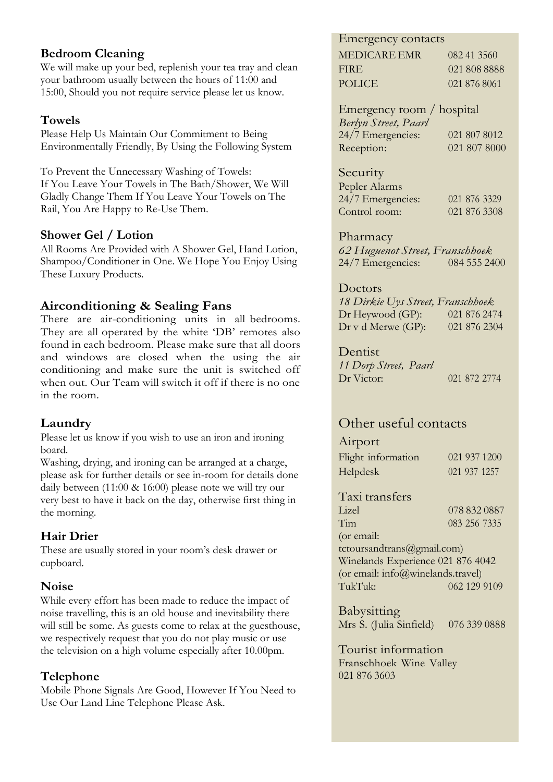#### **Bedroom Cleaning**

We will make up your bed, replenish your tea tray and clean your bathroom usually between the hours of 11:00 and 15:00, Should you not require service please let us know.

#### **Towels**

Please Help Us Maintain Our Commitment to Being Environmentally Friendly, By Using the Following System

To Prevent the Unnecessary Washing of Towels: If You Leave Your Towels in The Bath/Shower, We Will Gladly Change Them If You Leave Your Towels on The Rail, You Are Happy to Re-Use Them.

#### **Shower Gel / Lotion**

All Rooms Are Provided with A Shower Gel, Hand Lotion, Shampoo/Conditioner in One. We Hope You Enjoy Using These Luxury Products.

#### **Airconditioning & Sealing Fans**

There are air-conditioning units in all bedrooms. They are all operated by the white 'DB' remotes also found in each bedroom. Please make sure that all doors and windows are closed when the using the air conditioning and make sure the unit is switched off when out. Our Team will switch it off if there is no one in the room.

#### **Laundry**

Please let us know if you wish to use an iron and ironing board.

Washing, drying, and ironing can be arranged at a charge, please ask for further details or see in-room for details done daily between (11:00 & 16:00) please note we will try our very best to have it back on the day, otherwise first thing in the morning.

#### **Hair Drier**

These are usually stored in your room's desk drawer or cupboard.

#### **Noise**

While every effort has been made to reduce the impact of noise travelling, this is an old house and inevitability there will still be some. As guests come to relax at the guesthouse, we respectively request that you do not play music or use the television on a high volume especially after 10.00pm.

#### **Telephone**

Mobile Phone Signals Are Good, However If You Need to Use Our Land Line Telephone Please Ask.

#### Emergency contacts

| MEDICARE EMR | 082 41 3560  |
|--------------|--------------|
| FIRE.        | 021 808 8888 |
| POLICE.      | 021 876 8061 |

Emergency room / hospital *Berlyn Street, Paarl* 24/7 Emergencies: 021 807 8012 Reception: 021 807 8000

#### Security

| Pepler Alarms     |              |
|-------------------|--------------|
| 24/7 Emergencies: | 021 876 3329 |
| Control room:     | 021 876 3308 |

#### Pharmacy

*62 Huguenot Street, Franschhoek* 24/7 Emergencies:

#### Doctors

*18 Dirkie Uys Street, Franschhoek* Dr Heywood (GP): 021 876 2474 Dr v d Merwe (GP): 021 876 2304

**Dentist** 

*11 Dorp Street, Paarl* Dr Victor: 021 872 2774

# Other useful contacts

#### Airport

| Flight information |  | 021 937 1200 |
|--------------------|--|--------------|
| <b>Helpdesk</b>    |  | 021 937 1257 |

# Taxi transfers

Lizel 078 832 0887<br>Tim 083 256 7335 083 256 7335

(or email: tctoursandtrans@gmail.com) Winelands Experience 021 876 4042 (or email: info@winelands.travel) TukTuk: 062 129 9109

Babysitting Mrs S. (Julia Sinfield) 076 339 0888

Tourist information Franschhoek Wine Valley 021 876 3603